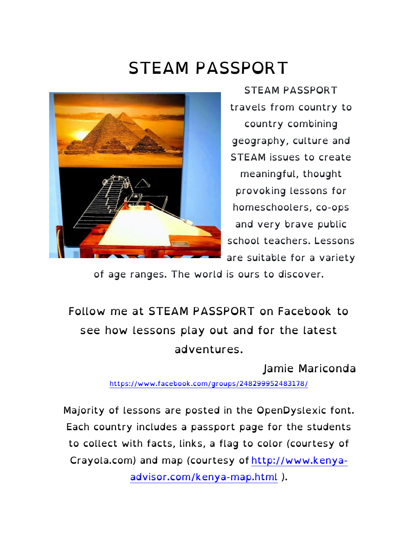# STEAM PASSPORT



STEAM PASSPORT travels from country to country combining geography, culture and STEAM issues to create meaningful, thought provoking lessons for homeschoolers, co-ops and very brave public school teachers. Lessons are suitable for a variety

of age ranges. The world is ours to discover.

## Follow me at STEAM PASSPORT on Facebook to see how lessons play out and for the latest adventures.

Jamie Mariconda

https://www.facebook.com/groups/248299952483178/

Majority of lessons are posted in the OpenDyslexic font. Each country includes a passport page for the students to collect with facts, links, a flag to color (courtesy of Crayola.com) and map (courtesy of http://www.kenyaadvisor.com/kenya-map.html ).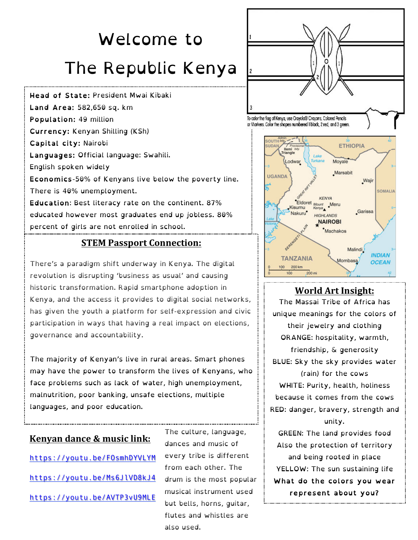# Welcome to The Republic Kenya

Head of State: President Mwai Kibaki Land Area: 582,650 sq. km Population: 49 million Currency: Kenyan Shilling (KSh) Capital city: Nairobi Languages: Official language: Swahili. English spoken widely Economics-50% of Kenyans live below the poverty line. There is 40% unemployment. Education: Best literacy rate on the continent. 87% educated however most graduates end up jobless. 80% percent of girls are not enrolled in school.

#### **STEM Passport Connection:**

There's a paradigm shift underway in Kenya. The digital revolution is disrupting 'business as usual' and causing historic transformation. Rapid smartphone adoption in Kenya, and the access it provides to digital social networks, has given the youth a platform for self-expression and civic participation in ways that having a real impact on elections, governance and accountability.

The majority of Kenyan's live in rural areas. Smart phones may have the power to transform the lives of Kenyans, who face problems such as lack of water, high unemployment, malnutrition, poor banking, unsafe elections, multiple languages, and poor education.

#### **Kenyan dance & music link:**

https://youtu.be/FOsmhDYVLYM https://youtu.be/Ms6JlVD8kJ4 https://youtu.be/AVTP3vU9MLE

The culture, language, dances and music of every tribe is different from each other. The drum is the most popular musical instrument used but bells, horns, guitar, flutes and whistles are also used.





#### **World Art Insight:**

The Massai Tribe of Africa has unique meanings for the colors of their jewelry and clothing ORANGE: hospitality, warmth, friendship, & generosity BLUE: Sky the sky provides water (rain) for the cows WHITE: Purity, health, holiness because it comes from the cows RED: danger, bravery, strength and unity. GREEN: The land provides food Also the protection of territory and being rooted in place

YELLOW: The sun sustaining life What do the colors you wear represent about you?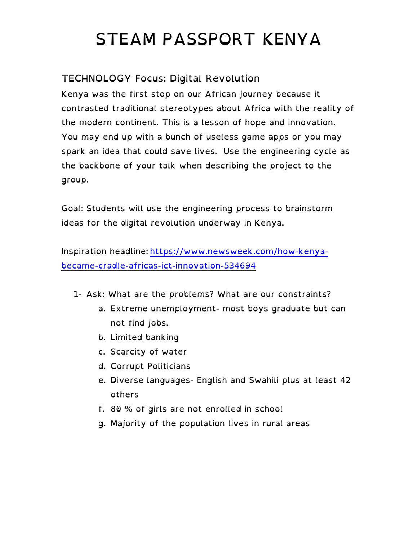# STEAM PASSPORT KENYA

### TECHNOLOGY Focus: Digital Revolution

Kenya was the first stop on our African journey because it contrasted traditional stereotypes about Africa with the reality of the modern continent. This is a lesson of hope and innovation. You may end up with a bunch of useless game apps or you may spark an idea that could save lives. Use the engineering cycle as the backbone of your talk when describing the project to the group.

Goal: Students will use the engineering process to brainstorm ideas for the digital revolution underway in Kenya.

Inspiration headline: https://www.newsweek.com/how-kenyabecame-cradle-africas-ict-innovation-534694

- 1- Ask: What are the problems? What are our constraints?
	- a. Extreme unemployment- most boys graduate but can not find jobs.
	- b. Limited banking
	- c. Scarcity of water
	- d. Corrupt Politicians
	- e. Diverse languages- English and Swahili plus at least 42 others
	- f. 80 % of girls are not enrolled in school
	- g. Majority of the population lives in rural areas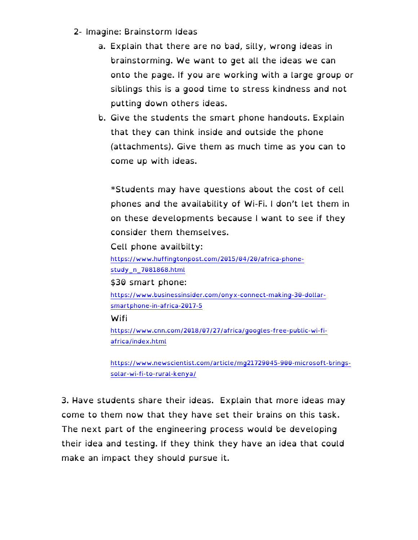- 2- Imagine: Brainstorm Ideas
	- a. Explain that there are no bad, silly, wrong ideas in brainstorming. We want to get all the ideas we can onto the page. If you are working with a large group or siblings this is a good time to stress kindness and not putting down others ideas.
	- b. Give the students the smart phone handouts. Explain that they can think inside and outside the phone (attachments). Give them as much time as you can to come up with ideas.

\*Students may have questions about the cost of cell phones and the availability of Wi-Fi. I don't let them in on these developments because I want to see if they consider them themselves.

Cell phone availbilty:

https://www.huffingtonpost.com/2015/04/20/africa-phonestudy\_n\_7081868.html

\$30 smart phone:

https://www.businessinsider.com/onyx-connect-making-30-dollarsmartphone-in-africa-2017-5

Wifi

https://www.cnn.com/2018/07/27/africa/googles-free-public-wi-fiafrica/index.html

https://www.newscientist.com/article/mg21729045-900-microsoft-bringssolar-wi-fi-to-rural-kenya/

3. Have students share their ideas. Explain that more ideas may come to them now that they have set their brains on this task. The next part of the engineering process would be developing their idea and testing. If they think they have an idea that could make an impact they should pursue it.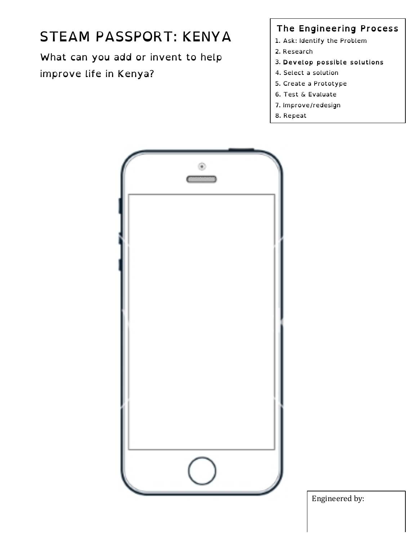# STEAM PASSPORT: KENYA

What can you add or invent to help improve life in Kenya?

### The Engineering Process

- 1. Ask: Identify the Problem
- 2. Research
- 3. Develop possible solutions
- 4. Select a solution
- 5. Create a Prototype
- 6. Test & Evaluate
- 7. Improve/redesign
- 8. Repeat



Engineered by: